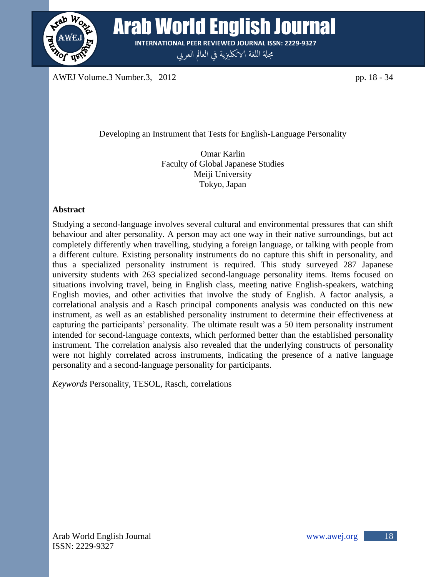

**READ MOTH English Journal** Arab World English Journal **INTERNATIONAL PEER REVIEWED JOURNAL ISSN: 2229-9327**

**INTERNATIONAL PEER REVIEWED JOURNAL ISSN: 2229-9327** جمةل اللغة الانلكزيية يف العامل العريب

AWEJ Volume.3 Number.3, 2012 pp. 18 - 34

Developing an Instrument that Tests for English-Language Personality

Omar Karlin Faculty of Global Japanese Studies Meiji University Tokyo, Japan

# **Abstract**

Studying a second-language involves several cultural and environmental pressures that can shift behaviour and alter personality. A person may act one way in their native surroundings, but act completely differently when travelling, studying a foreign language, or talking with people from a different culture. Existing personality instruments do no capture this shift in personality, and thus a specialized personality instrument is required. This study surveyed 287 Japanese university students with 263 specialized second-language personality items. Items focused on situations involving travel, being in English class, meeting native English-speakers, watching English movies, and other activities that involve the study of English. A factor analysis, a correlational analysis and a Rasch principal components analysis was conducted on this new instrument, as well as an established personality instrument to determine their effectiveness at capturing the participants' personality. The ultimate result was a 50 item personality instrument intended for second-language contexts, which performed better than the established personality instrument. The correlation analysis also revealed that the underlying constructs of personality were not highly correlated across instruments, indicating the presence of a native language personality and a second-language personality for participants.

*Keywords* Personality, TESOL, Rasch, correlations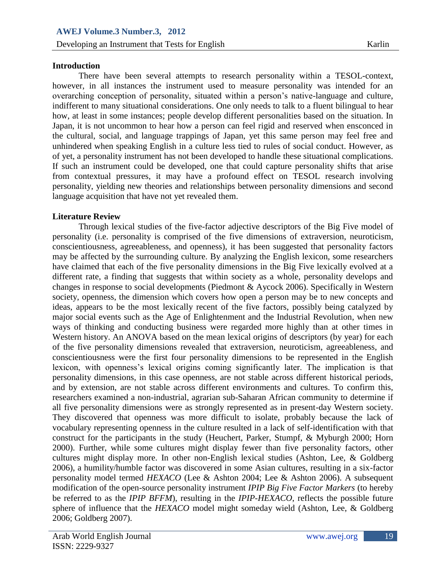## **Introduction**

There have been several attempts to research personality within a TESOL-context, however, in all instances the instrument used to measure personality was intended for an overarching conception of personality, situated within a person's native-language and culture, indifferent to many situational considerations. One only needs to talk to a fluent bilingual to hear how, at least in some instances; people develop different personalities based on the situation. In Japan, it is not uncommon to hear how a person can feel rigid and reserved when ensconced in the cultural, social, and language trappings of Japan, yet this same person may feel free and unhindered when speaking English in a culture less tied to rules of social conduct. However, as of yet, a personality instrument has not been developed to handle these situational complications. If such an instrument could be developed, one that could capture personality shifts that arise from contextual pressures, it may have a profound effect on TESOL research involving personality, yielding new theories and relationships between personality dimensions and second language acquisition that have not yet revealed them.

# **Literature Review**

Through lexical studies of the five-factor adjective descriptors of the Big Five model of personality (i.e. personality is comprised of the five dimensions of extraversion, neuroticism, conscientiousness, agreeableness, and openness), it has been suggested that personality factors may be affected by the surrounding culture. By analyzing the English lexicon, some researchers have claimed that each of the five personality dimensions in the Big Five lexically evolved at a different rate, a finding that suggests that within society as a whole, personality develops and changes in response to social developments (Piedmont & Aycock 2006). Specifically in Western society, openness, the dimension which covers how open a person may be to new concepts and ideas, appears to be the most lexically recent of the five factors, possibly being catalyzed by major social events such as the Age of Enlightenment and the Industrial Revolution, when new ways of thinking and conducting business were regarded more highly than at other times in Western history. An ANOVA based on the mean lexical origins of descriptors (by year) for each of the five personality dimensions revealed that extraversion, neuroticism, agreeableness, and conscientiousness were the first four personality dimensions to be represented in the English lexicon, with openness's lexical origins coming significantly later. The implication is that personality dimensions, in this case openness, are not stable across different historical periods, and by extension, are not stable across different environments and cultures. To confirm this, researchers examined a non-industrial, agrarian sub-Saharan African community to determine if all five personality dimensions were as strongly represented as in present-day Western society. They discovered that openness was more difficult to isolate, probably because the lack of vocabulary representing openness in the culture resulted in a lack of self-identification with that construct for the participants in the study (Heuchert, Parker, Stumpf, & Myburgh 2000; Horn 2000). Further, while some cultures might display fewer than five personality factors, other cultures might display more. In other non-English lexical studies (Ashton, Lee, & Goldberg 2006), a humility/humble factor was discovered in some Asian cultures, resulting in a six-factor personality model termed *HEXACO* (Lee & Ashton 2004; Lee & Ashton 2006). A subsequent modification of the open-source personality instrument *IPIP Big Five Factor Markers* (to hereby be referred to as the *IPIP BFFM*), resulting in the *IPIP-HEXACO*, reflects the possible future sphere of influence that the *HEXACO* model might someday wield (Ashton, Lee, & Goldberg 2006; Goldberg 2007).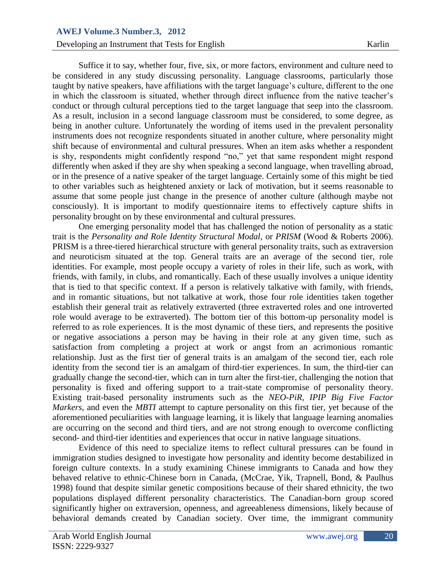### **Developing an Instrument that Tests for English Karlin**

Suffice it to say, whether four, five, six, or more factors, environment and culture need to be considered in any study discussing personality. Language classrooms, particularly those taught by native speakers, have affiliations with the target language's culture, different to the one in which the classroom is situated, whether through direct influence from the native teacher's conduct or through cultural perceptions tied to the target language that seep into the classroom. As a result, inclusion in a second language classroom must be considered, to some degree, as being in another culture. Unfortunately the wording of items used in the prevalent personality instruments does not recognize respondents situated in another culture, where personality might shift because of environmental and cultural pressures. When an item asks whether a respondent is shy, respondents might confidently respond "no," yet that same respondent might respond differently when asked if they are shy when speaking a second language, when travelling abroad, or in the presence of a native speaker of the target language. Certainly some of this might be tied to other variables such as heightened anxiety or lack of motivation, but it seems reasonable to assume that some people just change in the presence of another culture (although maybe not consciously). It is important to modify questionnaire items to effectively capture shifts in personality brought on by these environmental and cultural pressures.

One emerging personality model that has challenged the notion of personality as a static trait is the *Personality and Role Identity Structural Modal*, or *PRISM* (Wood & Roberts 2006). PRISM is a three-tiered hierarchical structure with general personality traits, such as extraversion and neuroticism situated at the top. General traits are an average of the second tier, role identities. For example, most people occupy a variety of roles in their life, such as work, with friends, with family, in clubs, and romantically. Each of these usually involves a unique identity that is tied to that specific context. If a person is relatively talkative with family, with friends, and in romantic situations, but not talkative at work, those four role identities taken together establish their general trait as relatively extraverted (three extraverted roles and one introverted role would average to be extraverted). The bottom tier of this bottom-up personality model is referred to as role experiences. It is the most dynamic of these tiers, and represents the positive or negative associations a person may be having in their role at any given time, such as satisfaction from completing a project at work or angst from an acrimonious romantic relationship. Just as the first tier of general traits is an amalgam of the second tier, each role identity from the second tier is an amalgam of third-tier experiences. In sum, the third-tier can gradually change the second-tier, which can in turn alter the first-tier, challenging the notion that personality is fixed and offering support to a trait-state compromise of personality theory. Existing trait-based personality instruments such as the *NEO-PiR, IPIP Big Five Factor Markers*, and even the *MBTI* attempt to capture personality on this first tier, yet because of the aforementioned peculiarities with language learning, it is likely that language learning anomalies are occurring on the second and third tiers, and are not strong enough to overcome conflicting second- and third-tier identities and experiences that occur in native language situations.

Evidence of this need to specialize items to reflect cultural pressures can be found in immigration studies designed to investigate how personality and identity become destabilized in foreign culture contexts. In a study examining Chinese immigrants to Canada and how they behaved relative to ethnic-Chinese born in Canada, (McCrae, Yik, Trapnell, Bond, & Paulhus 1998) found that despite similar genetic compositions because of their shared ethnicity, the two populations displayed different personality characteristics. The Canadian-born group scored significantly higher on extraversion, openness, and agreeableness dimensions, likely because of behavioral demands created by Canadian society. Over time, the immigrant community

20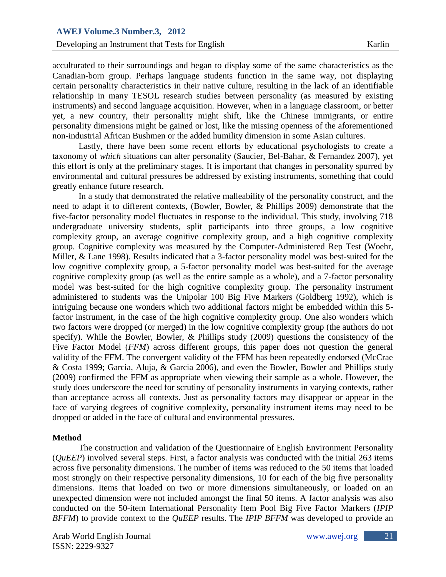acculturated to their surroundings and began to display some of the same characteristics as the Canadian-born group. Perhaps language students function in the same way, not displaying certain personality characteristics in their native culture, resulting in the lack of an identifiable relationship in many TESOL research studies between personality (as measured by existing instruments) and second language acquisition. However, when in a language classroom, or better yet, a new country, their personality might shift, like the Chinese immigrants, or entire personality dimensions might be gained or lost, like the missing openness of the aforementioned non-industrial African Bushmen or the added humility dimension in some Asian cultures.

Lastly, there have been some recent efforts by educational psychologists to create a taxonomy of *which* situations can alter personality (Saucier, Bel-Bahar, & Fernandez 2007), yet this effort is only at the preliminary stages. It is important that changes in personality spurred by environmental and cultural pressures be addressed by existing instruments, something that could greatly enhance future research.

In a study that demonstrated the relative malleability of the personality construct, and the need to adapt it to different contexts, (Bowler, Bowler, & Phillips 2009) demonstrate that the five-factor personality model fluctuates in response to the individual. This study, involving 718 undergraduate university students, split participants into three groups, a low cognitive complexity group, an average cognitive complexity group, and a high cognitive complexity group. Cognitive complexity was measured by the Computer-Administered Rep Test (Woehr, Miller, & Lane 1998). Results indicated that a 3-factor personality model was best-suited for the low cognitive complexity group, a 5-factor personality model was best-suited for the average cognitive complexity group (as well as the entire sample as a whole), and a 7-factor personality model was best-suited for the high cognitive complexity group. The personality instrument administered to students was the Unipolar 100 Big Five Markers (Goldberg 1992), which is intriguing because one wonders which two additional factors might be embedded within this 5 factor instrument, in the case of the high cognitive complexity group. One also wonders which two factors were dropped (or merged) in the low cognitive complexity group (the authors do not specify). While the Bowler, Bowler, & Phillips study (2009) questions the consistency of the Five Factor Model (*FFM*) across different groups, this paper does not question the general validity of the FFM. The convergent validity of the FFM has been repeatedly endorsed (McCrae & Costa 1999; Garcia, Aluja, & Garcia 2006), and even the Bowler, Bowler and Phillips study (2009) confirmed the FFM as appropriate when viewing their sample as a whole. However, the study does underscore the need for scrutiny of personality instruments in varying contexts, rather than acceptance across all contexts. Just as personality factors may disappear or appear in the face of varying degrees of cognitive complexity, personality instrument items may need to be dropped or added in the face of cultural and environmental pressures.

### **Method**

The construction and validation of the Questionnaire of English Environment Personality (*QuEEP*) involved several steps. First, a factor analysis was conducted with the initial 263 items across five personality dimensions. The number of items was reduced to the 50 items that loaded most strongly on their respective personality dimensions, 10 for each of the big five personality dimensions. Items that loaded on two or more dimensions simultaneously, or loaded on an unexpected dimension were not included amongst the final 50 items. A factor analysis was also conducted on the 50-item International Personality Item Pool Big Five Factor Markers (*IPIP BFFM*) to provide context to the *QuEEP* results. The *IPIP BFFM* was developed to provide an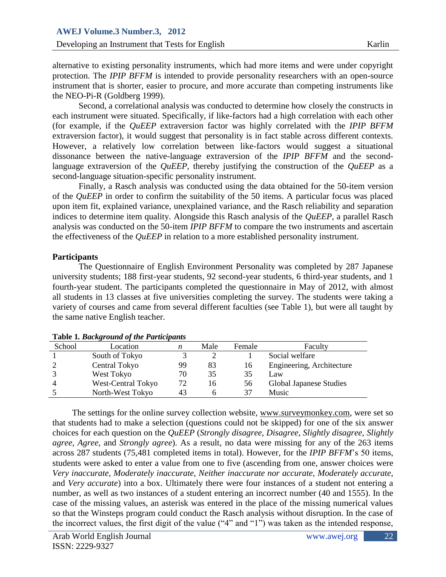alternative to existing personality instruments, which had more items and were under copyright protection. The *IPIP BFFM* is intended to provide personality researchers with an open-source instrument that is shorter, easier to procure, and more accurate than competing instruments like the NEO-Pi-R (Goldberg 1999).

Second, a correlational analysis was conducted to determine how closely the constructs in each instrument were situated. Specifically, if like-factors had a high correlation with each other (for example, if the *QuEEP* extraversion factor was highly correlated with the *IPIP BFFM* extraversion factor), it would suggest that personality is in fact stable across different contexts. However, a relatively low correlation between like-factors would suggest a situational dissonance between the native-language extraversion of the *IPIP BFFM* and the secondlanguage extraversion of the *QuEEP*, thereby justifying the construction of the *QuEEP* as a second-language situation-specific personality instrument.

Finally, a Rasch analysis was conducted using the data obtained for the 50-item version of the *QuEEP* in order to confirm the suitability of the 50 items. A particular focus was placed upon item fit, explained variance, unexplained variance, and the Rasch reliability and separation indices to determine item quality. Alongside this Rasch analysis of the *QuEEP*, a parallel Rasch analysis was conducted on the 50-item *IPIP BFFM* to compare the two instruments and ascertain the effectiveness of the *QuEEP* in relation to a more established personality instrument.

### **Participants**

The Questionnaire of English Environment Personality was completed by 287 Japanese university students; 188 first-year students, 92 second-year students, 6 third-year students, and 1 fourth-year student. The participants completed the questionnaire in May of 2012, with almost all students in 13 classes at five universities completing the survey. The students were taking a variety of courses and came from several different faculties (see Table 1), but were all taught by the same native English teacher.

| <b>Table 1. Duckground 0/ the 1 articipants</b> |                    |    |      |        |                           |  |  |  |  |  |  |
|-------------------------------------------------|--------------------|----|------|--------|---------------------------|--|--|--|--|--|--|
| School                                          | Location           | n  | Male | Female | Faculty                   |  |  |  |  |  |  |
|                                                 | South of Tokyo     |    |      |        | Social welfare            |  |  |  |  |  |  |
|                                                 | Central Tokyo      | 99 | 83   | 16     | Engineering, Architecture |  |  |  |  |  |  |
|                                                 | West Tokyo         | 70 | 35   | 35     | Law                       |  |  |  |  |  |  |
| Δ                                               | West-Central Tokyo | 72 | 16   | 56     | Global Japanese Studies   |  |  |  |  |  |  |
|                                                 | North-West Tokyo   | 43 |      | 37     | <b>Music</b>              |  |  |  |  |  |  |
|                                                 |                    |    |      |        |                           |  |  |  |  |  |  |

## **Table 1***. Background of the Participants*

The settings for the online survey collection website, [www.surveymonkey.com,](http://www.surveymonkey.com/) were set so that students had to make a selection (questions could not be skipped) for one of the six answer choices for each question on the *QuEEP* (*Strongly disagree, Disagree, Slightly disagree, Slightly agree, Agree,* and *Strongly agree*). As a result, no data were missing for any of the 263 items across 287 students (75,481 completed items in total). However, for the *IPIP BFFM*'s 50 items, students were asked to enter a value from one to five (ascending from one, answer choices were *Very inaccurate, Moderately inaccurate, Neither inaccurate nor accurate, Moderately accurate*, and *Very accurate*) into a box. Ultimately there were four instances of a student not entering a number, as well as two instances of a student entering an incorrect number (40 and 1555). In the case of the missing values, an asterisk was entered in the place of the missing numerical values so that the Winsteps program could conduct the Rasch analysis without disruption. In the case of the incorrect values, the first digit of the value ("4" and "1") was taken as the intended response,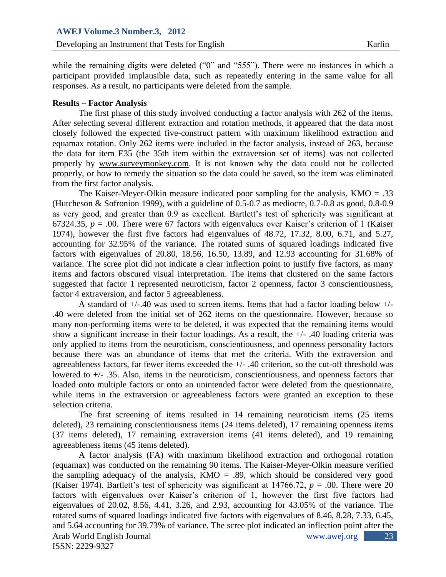while the remaining digits were deleted ("0" and "555"). There were no instances in which a participant provided implausible data, such as repeatedly entering in the same value for all responses. As a result, no participants were deleted from the sample.

### **Results – Factor Analysis**

The first phase of this study involved conducting a factor analysis with 262 of the items. After selecting several different extraction and rotation methods, it appeared that the data most closely followed the expected five-construct pattern with maximum likelihood extraction and equamax rotation. Only 262 items were included in the factor analysis, instead of 263, because the data for item E35 (the 35th item within the extraversion set of items) was not collected properly by [www.surveymonkey.com.](http://www.surveymonkey.com/) It is not known why the data could not be collected properly, or how to remedy the situation so the data could be saved, so the item was eliminated from the first factor analysis.

The Kaiser-Meyer-Olkin measure indicated poor sampling for the analysis,  $KMO = .33$ (Hutcheson & Sofronion 1999), with a guideline of 0.5-0.7 as mediocre, 0.7-0.8 as good, 0.8-0.9 as very good, and greater than 0.9 as excellent. Bartlett's test of sphericity was significant at 67324.35,  $p = 0.00$ . There were 67 factors with eigenvalues over Kaiser's criterion of 1 (Kaiser) 1974), however the first five factors had eigenvalues of 48.72, 17.32, 8.00, 6.71, and 5.27, accounting for 32.95% of the variance. The rotated sums of squared loadings indicated five factors with eigenvalues of 20.80, 18.56, 16.50, 13.89, and 12.93 accounting for 31.68% of variance. The scree plot did not indicate a clear inflection point to justify five factors, as many items and factors obscured visual interpretation. The items that clustered on the same factors suggested that factor 1 represented neuroticism, factor 2 openness, factor 3 conscientiousness, factor 4 extraversion, and factor 5 agreeableness.

A standard of +/-.40 was used to screen items. Items that had a factor loading below +/- .40 were deleted from the initial set of 262 items on the questionnaire. However, because so many non-performing items were to be deleted, it was expected that the remaining items would show a significant increase in their factor loadings. As a result, the +/- .40 loading criteria was only applied to items from the neuroticism, conscientiousness, and openness personality factors because there was an abundance of items that met the criteria. With the extraversion and agreeableness factors, far fewer items exceeded the +/- .40 criterion, so the cut-off threshold was lowered to +/- .35. Also, items in the neuroticism, conscientiousness, and openness factors that loaded onto multiple factors or onto an unintended factor were deleted from the questionnaire, while items in the extraversion or agreeableness factors were granted an exception to these selection criteria.

The first screening of items resulted in 14 remaining neuroticism items (25 items deleted), 23 remaining conscientiousness items (24 items deleted), 17 remaining openness items (37 items deleted), 17 remaining extraversion items (41 items deleted), and 19 remaining agreeableness items (45 items deleted).

A factor analysis (FA) with maximum likelihood extraction and orthogonal rotation (equamax) was conducted on the remaining 90 items. The Kaiser-Meyer-Olkin measure verified the sampling adequacy of the analysis,  $KMO = .89$ , which should be considered very good (Kaiser 1974). Bartlett's test of sphericity was significant at 14766.72,  $p = .00$ . There were 20 factors with eigenvalues over Kaiser's criterion of 1, however the first five factors had eigenvalues of 20.02, 8.56, 4.41, 3.26, and 2.93, accounting for 43.05% of the variance. The rotated sums of squared loadings indicated five factors with eigenvalues of 8.46, 8.28, 7.33, 6.45, and 5.64 accounting for 39.73% of variance. The scree plot indicated an inflection point after the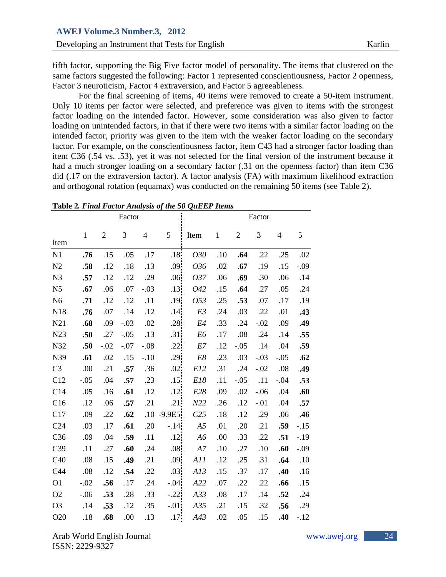fifth factor, supporting the Big Five factor model of personality. The items that clustered on the same factors suggested the following: Factor 1 represented conscientiousness, Factor 2 openness, Factor 3 neuroticism, Factor 4 extraversion, and Factor 5 agreeableness.

For the final screening of items, 40 items were removed to create a 50-item instrument. Only 10 items per factor were selected, and preference was given to items with the strongest factor loading on the intended factor. However, some consideration was also given to factor loading on unintended factors, in that if there were two items with a similar factor loading on the intended factor, priority was given to the item with the weaker factor loading on the secondary factor. For example, on the conscientiousness factor, item C43 had a stronger factor loading than item C36 (.54 vs. .53), yet it was not selected for the final version of the instrument because it had a much stronger loading on a secondary factor (.31 on the openness factor) than item C36 did (.17 on the extraversion factor). A factor analysis (FA) with maximum likelihood extraction and orthogonal rotation (equamax) was conducted on the remaining 50 items (see Table 2).

| <i>Trialysis</i> |                                 |                                 |                                        |                                                     |                |                                                                                                                                                                                                                                                      |                                        |                                        |                                        |                                        |  |
|------------------|---------------------------------|---------------------------------|----------------------------------------|-----------------------------------------------------|----------------|------------------------------------------------------------------------------------------------------------------------------------------------------------------------------------------------------------------------------------------------------|----------------------------------------|----------------------------------------|----------------------------------------|----------------------------------------|--|
|                  |                                 |                                 |                                        |                                                     | Factor         |                                                                                                                                                                                                                                                      |                                        |                                        |                                        |                                        |  |
| $\mathbf{1}$     | $\sqrt{2}$                      | 3                               | $\overline{4}$                         | 5                                                   | Item           | $\mathbf{1}$                                                                                                                                                                                                                                         | $\boldsymbol{2}$                       | 3                                      | $\overline{4}$                         | 5                                      |  |
|                  |                                 |                                 |                                        |                                                     |                |                                                                                                                                                                                                                                                      |                                        |                                        |                                        |                                        |  |
|                  |                                 |                                 |                                        |                                                     |                |                                                                                                                                                                                                                                                      |                                        |                                        |                                        | .02                                    |  |
|                  |                                 |                                 |                                        |                                                     |                |                                                                                                                                                                                                                                                      |                                        |                                        |                                        | $-.09$                                 |  |
|                  |                                 |                                 |                                        |                                                     |                |                                                                                                                                                                                                                                                      |                                        |                                        |                                        | .14                                    |  |
|                  |                                 |                                 |                                        |                                                     |                |                                                                                                                                                                                                                                                      |                                        |                                        |                                        | .24                                    |  |
|                  |                                 |                                 |                                        |                                                     |                |                                                                                                                                                                                                                                                      |                                        |                                        |                                        | .19                                    |  |
| .76              | .07                             |                                 |                                        |                                                     |                |                                                                                                                                                                                                                                                      |                                        |                                        |                                        | .43                                    |  |
| .68              | .09                             | $-.03$                          | .02                                    |                                                     | E4             | .33                                                                                                                                                                                                                                                  | .24                                    | $-.02$                                 | .09                                    | .49                                    |  |
| .50              | .27                             | $-.05$                          | .13                                    |                                                     | E <sub>6</sub> | .17                                                                                                                                                                                                                                                  | .08                                    | .24                                    | .14                                    | .55                                    |  |
| .50              | $-.02$                          | $-.07$                          | $-.08$                                 |                                                     | E7             | .12                                                                                                                                                                                                                                                  | $-.05$                                 | .14                                    | .04                                    | .59                                    |  |
| .61              | .02                             | .15                             | $-.10$                                 |                                                     | $E8\,$         | .23                                                                                                                                                                                                                                                  | .03                                    | $-.03$                                 | $-.05$                                 | .62                                    |  |
| .00              | .21                             | .57                             | .36                                    |                                                     | E12            | .31                                                                                                                                                                                                                                                  | .24                                    | $-.02$                                 | .08                                    | .49                                    |  |
| $-.05$           | .04                             | .57                             | .23                                    |                                                     | E18            | .11                                                                                                                                                                                                                                                  | $-.05$                                 | .11                                    | $-.04$                                 | .53                                    |  |
| .05              | .16                             | .61                             | .12                                    |                                                     | E28            | .09                                                                                                                                                                                                                                                  | .02                                    | $-.06$                                 | .04                                    | .60                                    |  |
| .12              | .06                             | .57                             | .21                                    |                                                     | N22            | .26                                                                                                                                                                                                                                                  | .12                                    | $-.01$                                 | .04                                    | .57                                    |  |
| .09              | .22                             | .62                             |                                        |                                                     | C25            | .18                                                                                                                                                                                                                                                  | .12                                    | .29                                    | .06                                    | .46                                    |  |
| .03              | .17                             | .61                             | .20                                    |                                                     | A <sub>5</sub> | .01                                                                                                                                                                                                                                                  | .20                                    | .21                                    | .59                                    | $-.15$                                 |  |
| .09              | .04                             | .59                             | .11                                    |                                                     | A6             | .00                                                                                                                                                                                                                                                  | .33                                    | .22                                    | .51                                    | $-.19$                                 |  |
| .11              | .27                             | .60                             | .24                                    |                                                     | ${\cal A7}$    | .10                                                                                                                                                                                                                                                  | .27                                    | .10                                    | .60                                    | $-.09$                                 |  |
| .08              | .15                             | .49                             | .21                                    |                                                     | A11            | .12                                                                                                                                                                                                                                                  | .25                                    | .31                                    | .64                                    | .10                                    |  |
| .08              | .12                             | .54                             | .22                                    |                                                     | A13            | .15                                                                                                                                                                                                                                                  | .37                                    | .17                                    | .40                                    | .16                                    |  |
| $-.02$           | .56                             | .17                             | .24                                    |                                                     | A22            | .07                                                                                                                                                                                                                                                  | .22                                    | .22                                    | .66                                    | .15                                    |  |
| $-.06$           | .53                             | .28                             | .33                                    |                                                     | A33            | .08                                                                                                                                                                                                                                                  | .17                                    | .14                                    | .52                                    | .24                                    |  |
| .14              | .53                             | .12                             | .35                                    |                                                     | A35            | .21                                                                                                                                                                                                                                                  | .15                                    | .32                                    | .56                                    | .29                                    |  |
| .18              | .68                             | .00                             | .13                                    |                                                     | A43            | .02                                                                                                                                                                                                                                                  | .05                                    | .15                                    | .40                                    | $-.12$                                 |  |
|                  | .76<br>.58<br>.57<br>.67<br>.71 | .15<br>.12<br>.12<br>.06<br>.12 | .05<br>.18<br>.12<br>.07<br>.12<br>.14 | Factor<br>.17<br>.13<br>.29<br>$-.03$<br>.11<br>.12 |                | .18 <sub>1</sub><br>030<br>.09<br>036<br>.06<br>037<br>.13<br>042<br>.19<br>053<br>.14<br>E3<br>.28<br>.31<br>.22<br>.29<br>.02<br>.15<br>.12<br>.21<br>$.10 - 9.9E5$<br>$-.14$<br>.12<br>$.08\,$<br>.09<br>.03<br>$-.04$<br>$-.22$<br>$-.01$<br>.17 | .10<br>.02<br>.06<br>.15<br>.25<br>.24 | .64<br>.67<br>.69<br>.64<br>.53<br>.03 | .22<br>.19<br>.30<br>.27<br>.07<br>.22 | .25<br>.15<br>.06<br>.05<br>.17<br>.01 |  |

**Table 2***. Final Factor Analysis of the 50 QuEEP Items*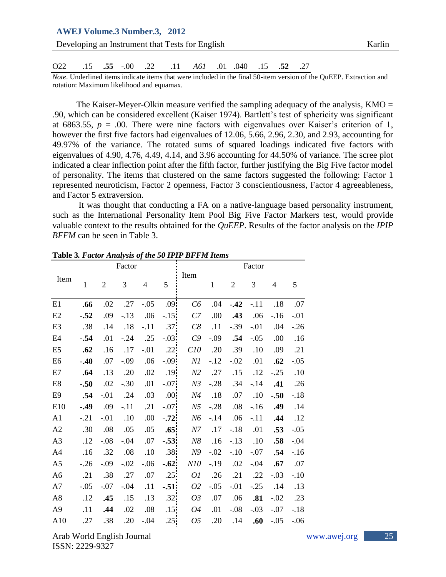|      |  |  | <b>AWEJ Volume.3 Number.3, 2012</b> |                                                 |  |  |  |        |
|------|--|--|-------------------------------------|-------------------------------------------------|--|--|--|--------|
|      |  |  |                                     | Developing an Instrument that Tests for English |  |  |  | Karlin |
| O22- |  |  |                                     | .15 .52 .15 .52 .11 .040 .01 .040 .55           |  |  |  |        |

*Note*. Underlined items indicate items that were included in the final 50-item version of the QuEEP. Extraction and rotation: Maximum likelihood and equamax.

The Kaiser-Meyer-Olkin measure verified the sampling adequacy of the analysis,  $KMO =$ .90, which can be considered excellent (Kaiser 1974). Bartlett's test of sphericity was significant at 6863.55,  $p = 0.00$ . There were nine factors with eigenvalues over Kaiser's criterion of 1, however the first five factors had eigenvalues of 12.06, 5.66, 2.96, 2.30, and 2.93, accounting for 49.97% of the variance. The rotated sums of squared loadings indicated five factors with eigenvalues of 4.90, 4.76, 4.49, 4.14, and 3.96 accounting for 44.50% of variance. The scree plot indicated a clear inflection point after the fifth factor, further justifying the Big Five factor model of personality. The items that clustered on the same factors suggested the following: Factor 1 represented neuroticism, Factor 2 openness, Factor 3 conscientiousness, Factor 4 agreeableness, and Factor 5 extraversion.

It was thought that conducting a FA on a native-language based personality instrument, such as the International Personality Item Pool Big Five Factor Markers test, would provide valuable context to the results obtained for the *QuEEP*. Results of the factor analysis on the *IPIP BFFM* can be seen in Table 3.

|                |              |                | Factor |                |                  |                |        |                | Factor |                |        |
|----------------|--------------|----------------|--------|----------------|------------------|----------------|--------|----------------|--------|----------------|--------|
| Item           |              |                |        |                |                  | Item           |        |                |        |                |        |
|                | $\mathbf{1}$ | $\overline{2}$ | 3      | $\overline{4}$ | 5                |                | 1      | $\overline{2}$ | 3      | $\overline{4}$ | 5      |
|                |              |                |        |                |                  |                |        |                |        |                |        |
| E1             | .66          | .02            | .27    | $-.05$         | .09 <sup>1</sup> | C6             | .04    | $-.42$         | $-.11$ | .18            | .07    |
| E2             | $-.52$       | .09            | $-.13$ | .06            | $-15$            | C7             | .00    | .43            | .06    | $-16$          | $-.01$ |
| E <sub>3</sub> | .38          | .14            | .18    | $-.11$         | .37              | C8             | .11    | $-.39$         | $-.01$ | .04            | $-.26$ |
| E <sub>4</sub> | $-.54$       | .01            | $-.24$ | .25            | $-.03$           | C9             | $-.09$ | .54            | $-.05$ | .00            | .16    |
| E <sub>5</sub> | .62          | .16            | .17    | $-.01$         | .22              | C10            | .20    | .39            | .10    | .09            | .21    |
| E <sub>6</sub> | $-.40$       | .07            | $-.09$ | .06            | $-0.09$ .        | N1             | $-12$  | $-.02$         | .01    | .62            | $-.05$ |
| E7             | .64          | .13            | .20    | .02            | .19              | N2             | .27    | .15            | .12    | $-.25$         | .10    |
| E <sub>8</sub> | $-.50$       | .02            | $-.30$ | .01            | $-.07$           | N <sub>3</sub> | $-.28$ | .34            | $-14$  | .41            | .26    |
| E <sub>9</sub> | .54          | $-.01$         | .24    | .03            | .00.             | N4             | .18    | .07            | .10    | $-.50$         | $-.18$ |
| E10            | $-.49$       | .09            | $-.11$ | .21            | $-.07$           | N <sub>5</sub> | $-.28$ | .08            | $-.16$ | .49            | .14    |
| A1             | $-.21$       | $-.01$         | .10    | .00.           | $-72$            | N6             | $-.14$ | .06            | $-.11$ | .44            | .12    |
| A2             | .30          | .08            | .05    | .05            | .65 <sup>2</sup> | N7             | .17    | $-.18$         | .01    | .53            | $-.05$ |
| A3             | .12          | $-.08$         | $-.04$ | .07            | $-.53$           | N8             | .16    | $-.13$         | .10    | .58            | $-.04$ |
| A <sub>4</sub> | .16          | .32            | .08    | .10            | .38              | N9             | $-.02$ | $-.10$         | $-.07$ | .54            | $-16$  |
| A <sub>5</sub> | $-.26$       | $-.09$         | $-.02$ | $-.06$         | $-.62$           | N10            | $-.19$ | .02            | $-.04$ | .67            | .07    |
| A <sub>6</sub> | .21          | .38            | .27    | .07            | .25              | 01             | .26    | .21            | .22    | $-.03$         | $-.10$ |
| A7             | $-.05$       | $-.07$         | $-.04$ | .11            | $-.51$           | O <sub>2</sub> | $-.05$ | $-.01$         | $-.25$ | .14            | .13    |
| A <sub>8</sub> | .12          | .45            | .15    | .13            | .32              | 03             | .07    | .06            | .81    | $-.02$         | .23    |
| A <sub>9</sub> | .11          | .44            | .02    | .08            | .15              | 04             | .01    | $-.08$         | $-.03$ | $-.07$         | $-.18$ |
| A10            | .27          | .38            | .20    | $-.04$         | .25              | 05             | .20    | .14            | .60    | $-.05$         | $-.06$ |
|                |              |                |        |                |                  |                |        |                |        |                |        |

**Table 3***. Factor Analysis of the 50 IPIP BFFM Items*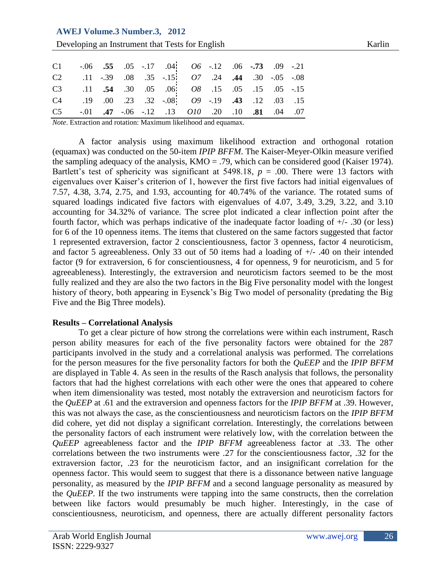# **AWEJ Volume.3 Number.3, 2012**

**Developing an Instrument that Tests for English Karlin** Karlin

| C1 $-.06$ $.55$ $.05$ $-.17$ $.04$ $06$ $-.12$ $.06$ $-.73$ $.09$ $-.21$   |  |  |  |  |  |
|----------------------------------------------------------------------------|--|--|--|--|--|
| C2 .11 -.39 .08 .35 -.15 07 .24 .44 .30 -.05 -.08                          |  |  |  |  |  |
| C3 .11 .54 .30 .05 .06 08 .15 .05 .15 .05 -15                              |  |  |  |  |  |
| C4 .19 .00 .23 .32 -.08 $O9$ -.19 .43 .12 .03 .15                          |  |  |  |  |  |
| C5 $-0.01$ $.47$ $-0.06$ $-1.2$ $.13$ $0.00$ $.20$ $.10$ $.81$ $.04$ $.07$ |  |  |  |  |  |

*Note*. Extraction and rotation: Maximum likelihood and equamax.

A factor analysis using maximum likelihood extraction and orthogonal rotation (equamax) was conducted on the 50-item *IPIP BFFM*. The Kaiser-Meyer-Olkin measure verified the sampling adequacy of the analysis,  $KMO = .79$ , which can be considered good (Kaiser 1974). Bartlett's test of sphericity was significant at 5498.18,  $p = .00$ . There were 13 factors with eigenvalues over Kaiser's criterion of 1, however the first five factors had initial eigenvalues of 7.57, 4.38, 3.74, 2.75, and 1.93, accounting for 40.74% of the variance. The rotated sums of squared loadings indicated five factors with eigenvalues of 4.07, 3.49, 3.29, 3.22, and 3.10 accounting for 34.32% of variance. The scree plot indicated a clear inflection point after the fourth factor, which was perhaps indicative of the inadequate factor loading of +/- .30 (or less) for 6 of the 10 openness items. The items that clustered on the same factors suggested that factor 1 represented extraversion, factor 2 conscientiousness, factor 3 openness, factor 4 neuroticism, and factor 5 agreeableness. Only 33 out of 50 items had a loading of +/- .40 on their intended factor (9 for extraversion, 6 for conscientiousness, 4 for openness, 9 for neuroticism, and 5 for agreeableness). Interestingly, the extraversion and neuroticism factors seemed to be the most fully realized and they are also the two factors in the Big Five personality model with the longest history of theory, both appearing in Eysenck's Big Two model of personality (predating the Big Five and the Big Three models).

#### **Results – Correlational Analysis**

To get a clear picture of how strong the correlations were within each instrument, Rasch person ability measures for each of the five personality factors were obtained for the 287 participants involved in the study and a correlational analysis was performed. The correlations for the person measures for the five personality factors for both the *QuEEP* and the *IPIP BFFM* are displayed in Table 4. As seen in the results of the Rasch analysis that follows, the personality factors that had the highest correlations with each other were the ones that appeared to cohere when item dimensionality was tested, most notably the extraversion and neuroticism factors for the *QuEEP* at .61 and the extraversion and openness factors for the *IPIP BFFM* at .39. However, this was not always the case, as the conscientiousness and neuroticism factors on the *IPIP BFFM* did cohere, yet did not display a significant correlation. Interestingly, the correlations between the personality factors of each instrument were relatively low, with the correlation between the *QuEEP* agreeableness factor and the *IPIP BFFM* agreeableness factor at .33. The other correlations between the two instruments were .27 for the conscientiousness factor, .32 for the extraversion factor, .23 for the neuroticism factor, and an insignificant correlation for the openness factor. This would seem to suggest that there is a dissonance between native language personality, as measured by the *IPIP BFFM* and a second language personality as measured by the *QuEEP*. If the two instruments were tapping into the same constructs, then the correlation between like factors would presumably be much higher. Interestingly, in the case of conscientiousness, neuroticism, and openness, there are actually different personality factors

26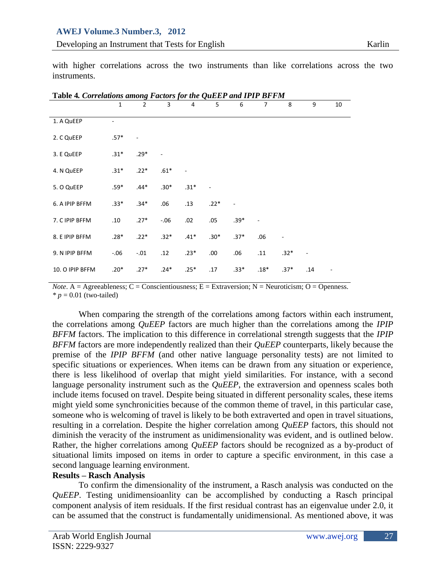with higher correlations across the two instruments than like correlations across the two instruments.

| Table 4. Correlations among Factors for the QuEEP and IPIP BFFM |              |                |        |                          |                          |        |        |        |                          |    |
|-----------------------------------------------------------------|--------------|----------------|--------|--------------------------|--------------------------|--------|--------|--------|--------------------------|----|
|                                                                 | $\mathbf{1}$ | $\overline{2}$ | 3      | 4                        | 5                        | 6      | 7      | 8      | 9                        | 10 |
| 1. A QuEEP                                                      |              |                |        |                          |                          |        |        |        |                          |    |
| 2. C QuEEP                                                      | $.57*$       |                |        |                          |                          |        |        |        |                          |    |
| 3. E QuEEP                                                      | $.31*$       | $.29*$         |        |                          |                          |        |        |        |                          |    |
| 4. N QuEEP                                                      | $.31*$       | $.22*$         | $.61*$ | $\overline{\phantom{a}}$ |                          |        |        |        |                          |    |
| 5. O QuEEP                                                      | $.59*$       | $.44*$         | $.30*$ | $.31*$                   | $\overline{\phantom{a}}$ |        |        |        |                          |    |
| 6. A IPIP BFFM                                                  | $.33*$       | $.34*$         | .06    | .13                      | $.22*$                   | ÷      |        |        |                          |    |
| 7. C IPIP BFFM                                                  | .10          | $.27*$         | $-.06$ | .02                      | .05                      | $.39*$ |        |        |                          |    |
| 8. E IPIP BFFM                                                  | $.28*$       | $.22*$         | $.32*$ | $.41*$                   | $.30*$                   | $.37*$ | .06    |        |                          |    |
| 9. N IPIP BFFM                                                  | $-.06$       | $-.01$         | .12    | $.23*$                   | .00.                     | .06    | .11    | $.32*$ | $\overline{\phantom{m}}$ |    |
| 10. O IPIP BFFM                                                 | $.20*$       | $.27*$         | $.24*$ | $.25*$                   | .17                      | $.33*$ | $.18*$ | $.37*$ | .14                      |    |

*Note*. A = Agreeableness; C = Conscientiousness; E = Extraversion; N = Neuroticism; O = Openness.  $* p = 0.01$  (two-tailed)

When comparing the strength of the correlations among factors within each instrument, the correlations among *QuEEP* factors are much higher than the correlations among the *IPIP BFFM* factors. The implication to this difference in correlational strength suggests that the *IPIP BFFM* factors are more independently realized than their *QuEEP* counterparts, likely because the premise of the *IPIP BFFM* (and other native language personality tests) are not limited to specific situations or experiences. When items can be drawn from any situation or experience, there is less likelihood of overlap that might yield similarities. For instance, with a second language personality instrument such as the *QuEEP*, the extraversion and openness scales both include items focused on travel. Despite being situated in different personality scales, these items might yield some synchronicities because of the common theme of travel, in this particular case, someone who is welcoming of travel is likely to be both extraverted and open in travel situations, resulting in a correlation. Despite the higher correlation among *QuEEP* factors, this should not diminish the veracity of the instrument as unidimensionality was evident, and is outlined below. Rather, the higher correlations among *QuEEP* factors should be recognized as a by-product of situational limits imposed on items in order to capture a specific environment, in this case a second language learning environment.

### **Results – Rasch Analysis**

To confirm the dimensionality of the instrument, a Rasch analysis was conducted on the *QuEEP*. Testing unidimensioanlity can be accomplished by conducting a Rasch principal component analysis of item residuals. If the first residual contrast has an eigenvalue under 2.0, it can be assumed that the construct is fundamentally unidimensional. As mentioned above, it was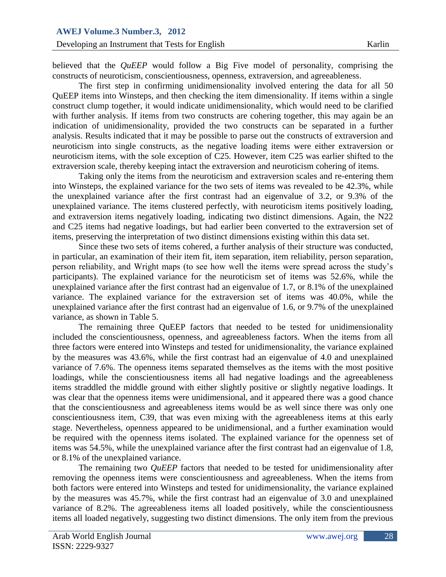believed that the *QuEEP* would follow a Big Five model of personality, comprising the constructs of neuroticism, conscientiousness, openness, extraversion, and agreeableness.

The first step in confirming unidimensionality involved entering the data for all 50 QuEEP items into Winsteps, and then checking the item dimensionality. If items within a single construct clump together, it would indicate unidimensionality, which would need to be clarified with further analysis. If items from two constructs are cohering together, this may again be an indication of unidimensionality, provided the two constructs can be separated in a further analysis. Results indicated that it may be possible to parse out the constructs of extraversion and neuroticism into single constructs, as the negative loading items were either extraversion or neuroticism items, with the sole exception of C25. However, item C25 was earlier shifted to the extraversion scale, thereby keeping intact the extraversion and neuroticism cohering of items.

Taking only the items from the neuroticism and extraversion scales and re-entering them into Winsteps, the explained variance for the two sets of items was revealed to be 42.3%, while the unexplained variance after the first contrast had an eigenvalue of 3.2, or 9.3% of the unexplained variance. The items clustered perfectly, with neuroticism items positively loading, and extraversion items negatively loading, indicating two distinct dimensions. Again, the N22 and C25 items had negative loadings, but had earlier been converted to the extraversion set of items, preserving the interpretation of two distinct dimensions existing within this data set.

Since these two sets of items cohered, a further analysis of their structure was conducted, in particular, an examination of their item fit, item separation, item reliability, person separation, person reliability, and Wright maps (to see how well the items were spread across the study's participants). The explained variance for the neuroticism set of items was 52.6%, while the unexplained variance after the first contrast had an eigenvalue of 1.7, or 8.1% of the unexplained variance. The explained variance for the extraversion set of items was 40.0%, while the unexplained variance after the first contrast had an eigenvalue of 1.6, or 9.7% of the unexplained variance, as shown in Table 5.

The remaining three QuEEP factors that needed to be tested for unidimensionality included the conscientiousness, openness, and agreeableness factors. When the items from all three factors were entered into Winsteps and tested for unidimensionality, the variance explained by the measures was 43.6%, while the first contrast had an eigenvalue of 4.0 and unexplained variance of 7.6%. The openness items separated themselves as the items with the most positive loadings, while the conscientiousness items all had negative loadings and the agreeableness items straddled the middle ground with either slightly positive or slightly negative loadings. It was clear that the openness items were unidimensional, and it appeared there was a good chance that the conscientiousness and agreeableness items would be as well since there was only one conscientiousness item, C39, that was even mixing with the agreeableness items at this early stage. Nevertheless, openness appeared to be unidimensional, and a further examination would be required with the openness items isolated. The explained variance for the openness set of items was 54.5%, while the unexplained variance after the first contrast had an eigenvalue of 1.8, or 8.1% of the unexplained variance.

The remaining two *QuEEP* factors that needed to be tested for unidimensionality after removing the openness items were conscientiousness and agreeableness. When the items from both factors were entered into Winsteps and tested for unidimensionality, the variance explained by the measures was 45.7%, while the first contrast had an eigenvalue of 3.0 and unexplained variance of 8.2%. The agreeableness items all loaded positively, while the conscientiousness items all loaded negatively, suggesting two distinct dimensions. The only item from the previous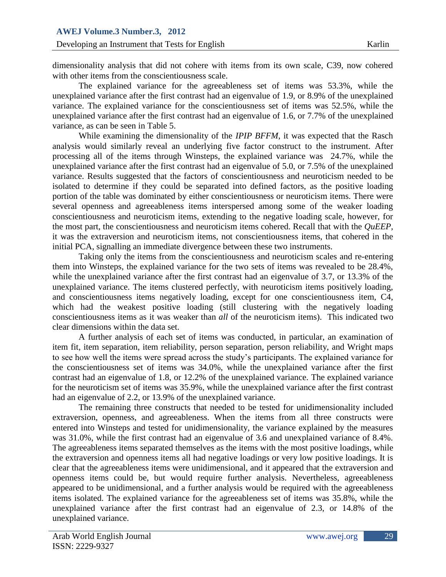dimensionality analysis that did not cohere with items from its own scale, C39, now cohered with other items from the conscientiousness scale.

The explained variance for the agreeableness set of items was 53.3%, while the unexplained variance after the first contrast had an eigenvalue of 1.9, or 8.9% of the unexplained variance. The explained variance for the conscientiousness set of items was 52.5%, while the unexplained variance after the first contrast had an eigenvalue of 1.6, or 7.7% of the unexplained variance, as can be seen in Table 5.

While examining the dimensionality of the *IPIP BFFM*, it was expected that the Rasch analysis would similarly reveal an underlying five factor construct to the instrument. After processing all of the items through Winsteps, the explained variance was 24.7%, while the unexplained variance after the first contrast had an eigenvalue of 5.0, or 7.5% of the unexplained variance. Results suggested that the factors of conscientiousness and neuroticism needed to be isolated to determine if they could be separated into defined factors, as the positive loading portion of the table was dominated by either conscientiousness or neuroticism items. There were several openness and agreeableness items interspersed among some of the weaker loading conscientiousness and neuroticism items, extending to the negative loading scale, however, for the most part, the conscientiousness and neuroticism items cohered. Recall that with the *QuEEP*, it was the extraversion and neuroticism items, not conscientiousness items, that cohered in the initial PCA, signalling an immediate divergence between these two instruments.

Taking only the items from the conscientiousness and neuroticism scales and re-entering them into Winsteps, the explained variance for the two sets of items was revealed to be 28.4%, while the unexplained variance after the first contrast had an eigenvalue of 3.7, or 13.3% of the unexplained variance. The items clustered perfectly, with neuroticism items positively loading, and conscientiousness items negatively loading, except for one conscientiousness item, C4, which had the weakest positive loading (still clustering with the negatively loading conscientiousness items as it was weaker than *all* of the neuroticism items). This indicated two clear dimensions within the data set.

A further analysis of each set of items was conducted, in particular, an examination of item fit, item separation, item reliability, person separation, person reliability, and Wright maps to see how well the items were spread across the study's participants. The explained variance for the conscientiousness set of items was 34.0%, while the unexplained variance after the first contrast had an eigenvalue of 1.8, or 12.2% of the unexplained variance. The explained variance for the neuroticism set of items was 35.9%, while the unexplained variance after the first contrast had an eigenvalue of 2.2, or 13.9% of the unexplained variance.

The remaining three constructs that needed to be tested for unidimensionality included extraversion, openness, and agreeableness. When the items from all three constructs were entered into Winsteps and tested for unidimensionality, the variance explained by the measures was 31.0%, while the first contrast had an eigenvalue of 3.6 and unexplained variance of 8.4%. The agreeableness items separated themselves as the items with the most positive loadings, while the extraversion and openness items all had negative loadings or very low positive loadings. It is clear that the agreeableness items were unidimensional, and it appeared that the extraversion and openness items could be, but would require further analysis. Nevertheless, agreeableness appeared to be unidimensional, and a further analysis would be required with the agreeableness items isolated. The explained variance for the agreeableness set of items was 35.8%, while the unexplained variance after the first contrast had an eigenvalue of 2.3, or 14.8% of the unexplained variance.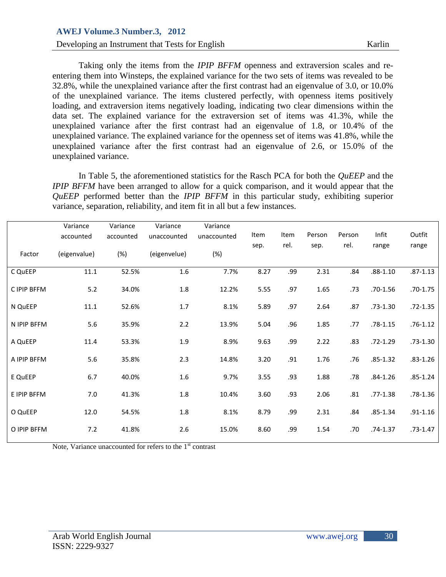### **Developing an Instrument that Tests for English Karlin**

Taking only the items from the *IPIP BFFM* openness and extraversion scales and reentering them into Winsteps, the explained variance for the two sets of items was revealed to be 32.8%, while the unexplained variance after the first contrast had an eigenvalue of 3.0, or 10.0% of the unexplained variance. The items clustered perfectly, with openness items positively loading, and extraversion items negatively loading, indicating two clear dimensions within the data set. The explained variance for the extraversion set of items was 41.3%, while the unexplained variance after the first contrast had an eigenvalue of 1.8, or 10.4% of the unexplained variance. The explained variance for the openness set of items was 41.8%, while the unexplained variance after the first contrast had an eigenvalue of 2.6, or 15.0% of the unexplained variance.

In Table 5, the aforementioned statistics for the Rasch PCA for both the *QuEEP* and the *IPIP BFFM* have been arranged to allow for a quick comparison, and it would appear that the *QuEEP* performed better than the *IPIP BFFM* in this particular study, exhibiting superior variance, separation, reliability, and item fit in all but a few instances.

|             | Variance     | Variance  | Variance     | Variance    |      |      |        |        |              |              |
|-------------|--------------|-----------|--------------|-------------|------|------|--------|--------|--------------|--------------|
|             | accounted    | accounted | unaccounted  | unaccounted | Item | Item | Person | Person | Infit        | Outfit       |
| Factor      | (eigenvalue) | (%)       | (eigenvelue) | (%)         | sep. | rel. | sep.   | rel.   | range        | range        |
| C QuEEP     | 11.1         | 52.5%     | 1.6          | 7.7%        | 8.27 | .99  | 2.31   | .84    | $.88 - 1.10$ | $.87 - 1.13$ |
| C IPIP BFFM | 5.2          | 34.0%     | 1.8          | 12.2%       | 5.55 | .97  | 1.65   | .73    | $.70 - 1.56$ | $.70 - 1.75$ |
| N QuEEP     | 11.1         | 52.6%     | $1.7\,$      | 8.1%        | 5.89 | .97  | 2.64   | .87    | $.73 - 1.30$ | $.72 - 1.35$ |
| N IPIP BFFM | 5.6          | 35.9%     | 2.2          | 13.9%       | 5.04 | .96  | 1.85   | .77    | .78-1.15     | $.76 - 1.12$ |
| A QuEEP     | 11.4         | 53.3%     | 1.9          | 8.9%        | 9.63 | .99  | 2.22   | .83    | $.72 - 1.29$ | $.73 - 1.30$ |
| A IPIP BFFM | 5.6          | 35.8%     | 2.3          | 14.8%       | 3.20 | .91  | 1.76   | .76    | $.85 - 1.32$ | $.83 - 1.26$ |
| E QuEEP     | 6.7          | 40.0%     | 1.6          | 9.7%        | 3.55 | .93  | 1.88   | .78    | $.84 - 1.26$ | $.85 - 1.24$ |
| E IPIP BFFM | 7.0          | 41.3%     | $1.8\,$      | 10.4%       | 3.60 | .93  | 2.06   | .81    | $.77 - 1.38$ | $.78 - 1.36$ |
| O QuEEP     | 12.0         | 54.5%     | $1.8\,$      | 8.1%        | 8.79 | .99  | 2.31   | .84    | $.85 - 1.34$ | $.91 - 1.16$ |
| O IPIP BFFM | 7.2          | 41.8%     | 2.6          | 15.0%       | 8.60 | .99  | 1.54   | .70    | .74-1.37     | $.73 - 1.47$ |

Note, Variance unaccounted for refers to the  $1<sup>st</sup>$  contrast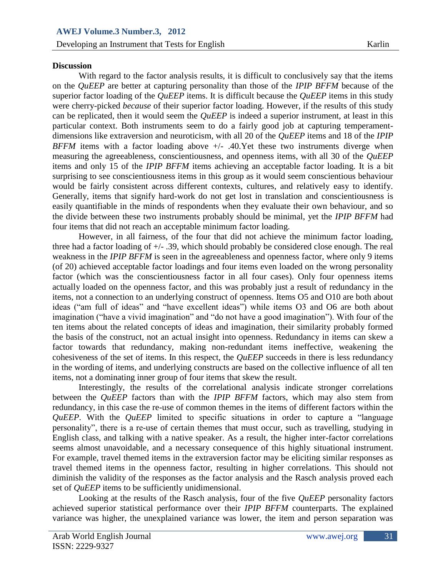### **Discussion**

With regard to the factor analysis results, it is difficult to conclusively say that the items on the *QuEEP* are better at capturing personality than those of the *IPIP BFFM* because of the superior factor loading of the *QuEEP* items. It is difficult because the *QuEEP* items in this study were cherry-picked *because* of their superior factor loading. However, if the results of this study can be replicated, then it would seem the *QuEEP* is indeed a superior instrument, at least in this particular context. Both instruments seem to do a fairly good job at capturing temperamentdimensions like extraversion and neuroticism, with all 20 of the *QuEEP* items and 18 of the *IPIP BFFM* items with a factor loading above  $+/-$  .40.Yet these two instruments diverge when measuring the agreeableness, conscientiousness, and openness items, with all 30 of the *QuEEP* items and only 15 of the *IPIP BFFM* items achieving an acceptable factor loading. It is a bit surprising to see conscientiousness items in this group as it would seem conscientious behaviour would be fairly consistent across different contexts, cultures, and relatively easy to identify. Generally, items that signify hard-work do not get lost in translation and conscientiousness is easily quantifiable in the minds of respondents when they evaluate their own behaviour, and so the divide between these two instruments probably should be minimal, yet the *IPIP BFFM* had four items that did not reach an acceptable minimum factor loading.

However, in all fairness, of the four that did not achieve the minimum factor loading, three had a factor loading of +/- .39, which should probably be considered close enough. The real weakness in the *IPIP BFFM* is seen in the agreeableness and openness factor, where only 9 items (of 20) achieved acceptable factor loadings and four items even loaded on the wrong personality factor (which was the conscientiousness factor in all four cases). Only four openness items actually loaded on the openness factor, and this was probably just a result of redundancy in the items, not a connection to an underlying construct of openness. Items O5 and O10 are both about ideas ("am full of ideas" and "have excellent ideas") while items O3 and O6 are both about imagination ("have a vivid imagination" and "do not have a good imagination"). With four of the ten items about the related concepts of ideas and imagination, their similarity probably formed the basis of the construct, not an actual insight into openness. Redundancy in items can skew a factor towards that redundancy, making non-redundant items ineffective, weakening the cohesiveness of the set of items. In this respect, the *QuEEP* succeeds in there is less redundancy in the wording of items, and underlying constructs are based on the collective influence of all ten items, not a dominating inner group of four items that skew the result.

Interestingly, the results of the correlational analysis indicate stronger correlations between the *QuEEP* factors than with the *IPIP BFFM* factors, which may also stem from redundancy, in this case the re-use of common themes in the items of different factors within the *QuEEP*. With the *QuEEP* limited to specific situations in order to capture a "language personality", there is a re-use of certain themes that must occur, such as travelling, studying in English class, and talking with a native speaker. As a result, the higher inter-factor correlations seems almost unavoidable, and a necessary consequence of this highly situational instrument. For example, travel themed items in the extraversion factor may be eliciting similar responses as travel themed items in the openness factor, resulting in higher correlations. This should not diminish the validity of the responses as the factor analysis and the Rasch analysis proved each set of *QuEEP* items to be sufficiently unidimensional.

Looking at the results of the Rasch analysis, four of the five *QuEEP* personality factors achieved superior statistical performance over their *IPIP BFFM* counterparts. The explained variance was higher, the unexplained variance was lower, the item and person separation was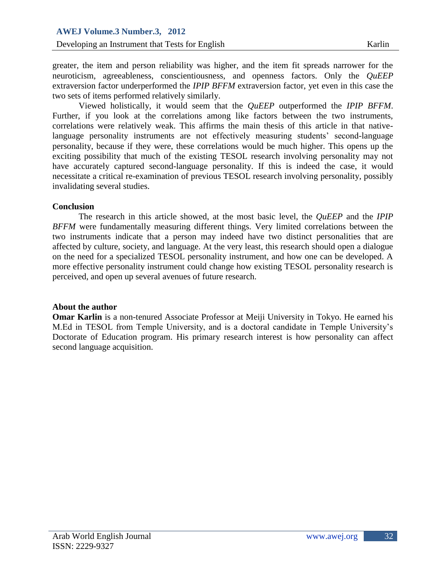greater, the item and person reliability was higher, and the item fit spreads narrower for the neuroticism, agreeableness, conscientiousness, and openness factors. Only the *QuEEP* extraversion factor underperformed the *IPIP BFFM* extraversion factor, yet even in this case the two sets of items performed relatively similarly.

Viewed holistically, it would seem that the *QuEEP* outperformed the *IPIP BFFM*. Further, if you look at the correlations among like factors between the two instruments, correlations were relatively weak. This affirms the main thesis of this article in that nativelanguage personality instruments are not effectively measuring students' second-language personality, because if they were, these correlations would be much higher. This opens up the exciting possibility that much of the existing TESOL research involving personality may not have accurately captured second-language personality. If this is indeed the case, it would necessitate a critical re-examination of previous TESOL research involving personality, possibly invalidating several studies.

#### **Conclusion**

The research in this article showed, at the most basic level, the *QuEEP* and the *IPIP BFFM* were fundamentally measuring different things. Very limited correlations between the two instruments indicate that a person may indeed have two distinct personalities that are affected by culture, society, and language. At the very least, this research should open a dialogue on the need for a specialized TESOL personality instrument, and how one can be developed. A more effective personality instrument could change how existing TESOL personality research is perceived, and open up several avenues of future research.

#### **About the author**

**Omar Karlin** is a non-tenured Associate Professor at Meiji University in Tokyo. He earned his M.Ed in TESOL from Temple University, and is a doctoral candidate in Temple University's Doctorate of Education program. His primary research interest is how personality can affect second language acquisition.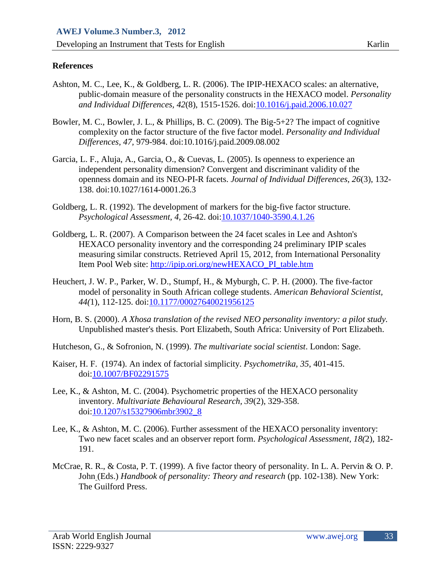# **References**

- Ashton, M. C., Lee, K., & Goldberg, L. R. (2006). The IPIP-HEXACO scales: an alternative, public-domain measure of the personality constructs in the HEXACO model. *Personality and Individual Differences, 42*(8), 1515-1526. doi[:10.1016/j.paid.2006.10.027](http://dx.doi.org/10.1016/j.paid.2006.10.027)
- Bowler, M. C., Bowler, J. L., & Phillips, B. C. (2009). The Big-5+2? The impact of cognitive complexity on the factor structure of the five factor model. *Personality and Individual Differences, 47,* 979-984. doi:10.1016/j.paid.2009.08.002
- Garcia, L. F., Aluja, A., Garcia, O., & Cuevas, L. (2005). Is openness to experience an independent personality dimension? Convergent and discriminant validity of the openness domain and its NEO-PI-R facets. *Journal of Individual Differences, 26*(3), 132- 138. doi:10.1027/1614-0001.26.3
- Goldberg, L. R. (1992). The development of markers for the big-five factor structure. *Psychological Assessment, 4,* 26-42. doi[:10.1037/1040-3590.4.1.26](http://dx.doi.org/10.1037/1040-3590.4.1.26)
- Goldberg, L. R. (2007). A Comparison between the 24 facet scales in Lee and Ashton's HEXACO personality inventory and the corresponding 24 preliminary IPIP scales measuring similar constructs. Retrieved April 15, 2012, from International Personality Item Pool Web site: [http://ipip.ori.org/newHEXACO\\_PI\\_table.htm](http://ipip.ori.org/newHEXACO_PI_table.htm)
- Heuchert, J. W. P., Parker, W. D., Stumpf, H., & Myburgh, C. P. H. (2000). The five-factor model of personality in South African college students. *American Behavioral Scientist, 44(*1), 112-125. doi[:10.1177/00027640021956125](http://dx.doi.org/10.1177%2f00027640021956125)
- Horn, B. S. (2000). *A Xhosa translation of the revised NEO personality inventory: a pilot study.* Unpublished master's thesis. Port Elizabeth, South Africa: University of Port Elizabeth.
- Hutcheson, G., & Sofronion, N. (1999). *The multivariate social scientist*. London: Sage.
- Kaiser, H. F. (1974). An index of factorial simplicity. *Psychometrika, 35*, 401-415. doi[:10.1007/BF02291575](http://dx.doi.org/10.1007%2fBF02291575)
- Lee, K., & Ashton, M. C. (2004). Psychometric properties of the HEXACO personality inventory. *Multivariate Behavioural Research, 39*(2), 329-358. doi[:10.1207/s15327906mbr3902\\_8](http://dx.doi.org/10.1207/s15327906mbr3902_8)
- Lee, K., & Ashton, M. C. (2006). Further assessment of the HEXACO personality inventory: Two new facet scales and an observer report form. *Psychological Assessment, 18(*2), 182- 191.
- McCrae, R. R., & Costa, P. T. (1999). A five factor theory of personality. In L. A. Pervin & O. P. John (Eds.) *Handbook of personality: Theory and research* (pp. 102-138). New York: The Guilford Press.